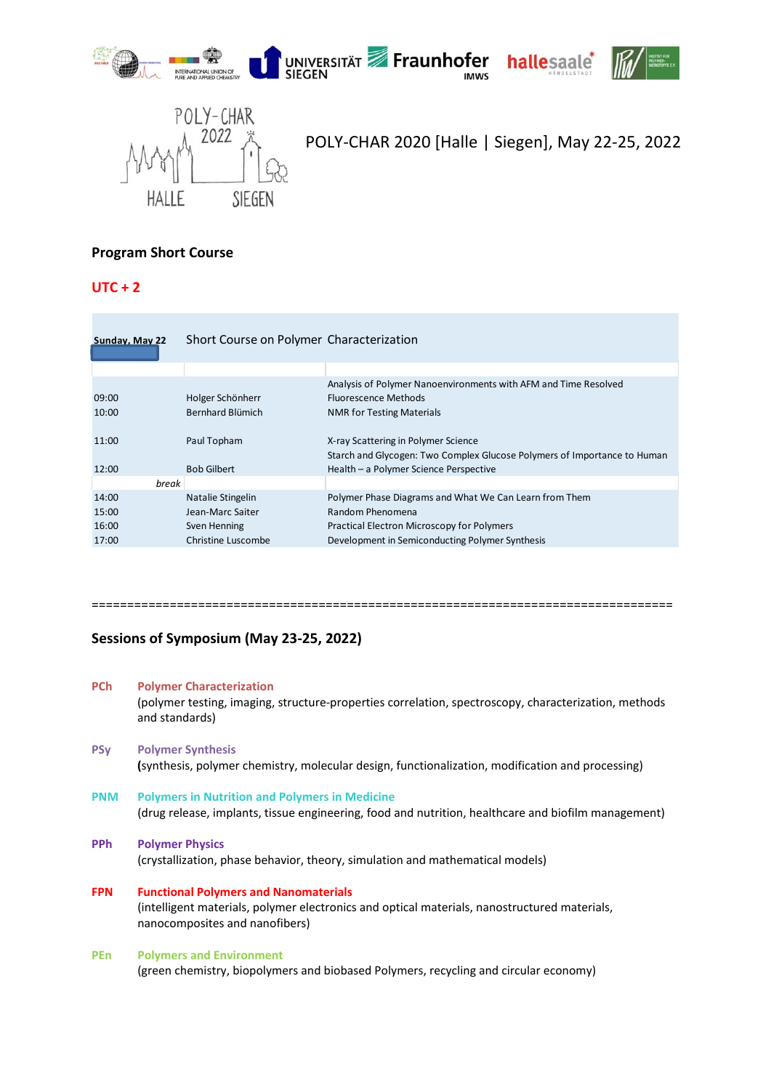









 $2022 \frac{1}{2}$  POLY-CHAR 2020 [Halle | Siegen], May 22-25, 2022

# **Program Short Course**

## **UTC + 2**

| Sunday, May 22 | Short Course on Polymer Characterization |                                                                          |  |
|----------------|------------------------------------------|--------------------------------------------------------------------------|--|
|                |                                          |                                                                          |  |
|                |                                          | Analysis of Polymer Nanoenvironments with AFM and Time Resolved          |  |
| 09:00          | Holger Schönherr                         | <b>Fluorescence Methods</b>                                              |  |
| 10:00          | Bernhard Blümich                         | <b>NMR for Testing Materials</b>                                         |  |
| 11:00          | Paul Topham                              | X-ray Scattering in Polymer Science                                      |  |
|                |                                          | Starch and Glycogen: Two Complex Glucose Polymers of Importance to Human |  |
| 12:00          | <b>Bob Gilbert</b>                       | Health - a Polymer Science Perspective                                   |  |
| break          |                                          |                                                                          |  |
| 14:00          | Natalie Stingelin                        | Polymer Phase Diagrams and What We Can Learn from Them                   |  |
| 15:00          | Jean-Marc Saiter                         | Random Phenomena                                                         |  |
| 16:00          | Sven Henning                             | Practical Electron Microscopy for Polymers                               |  |
| 17:00          | Christine Luscombe                       | Development in Semiconducting Polymer Synthesis                          |  |

#### ==================================================================================

## **Sessions of Symposium (May 23‐25, 2022)**

#### **PCh Polymer Characterization**

(polymer testing, imaging, structure‐properties correlation, spectroscopy, characterization, methods and standards)

- **PSy Polymer Synthesis (**synthesis, polymer chemistry, molecular design, functionalization, modification and processing)
- **PNM Polymers in Nutrition and Polymers in Medicine** (drug release, implants, tissue engineering, food and nutrition, healthcare and biofilm management)

### **PPh Polymer Physics**

(crystallization, phase behavior, theory, simulation and mathematical models)

**FPN Functional Polymers and Nanomaterials** (intelligent materials, polymer electronics and optical materials, nanostructured materials, nanocomposites and nanofibers)

## **PEn Polymers and Environment**

(green chemistry, biopolymers and biobased Polymers, recycling and circular economy)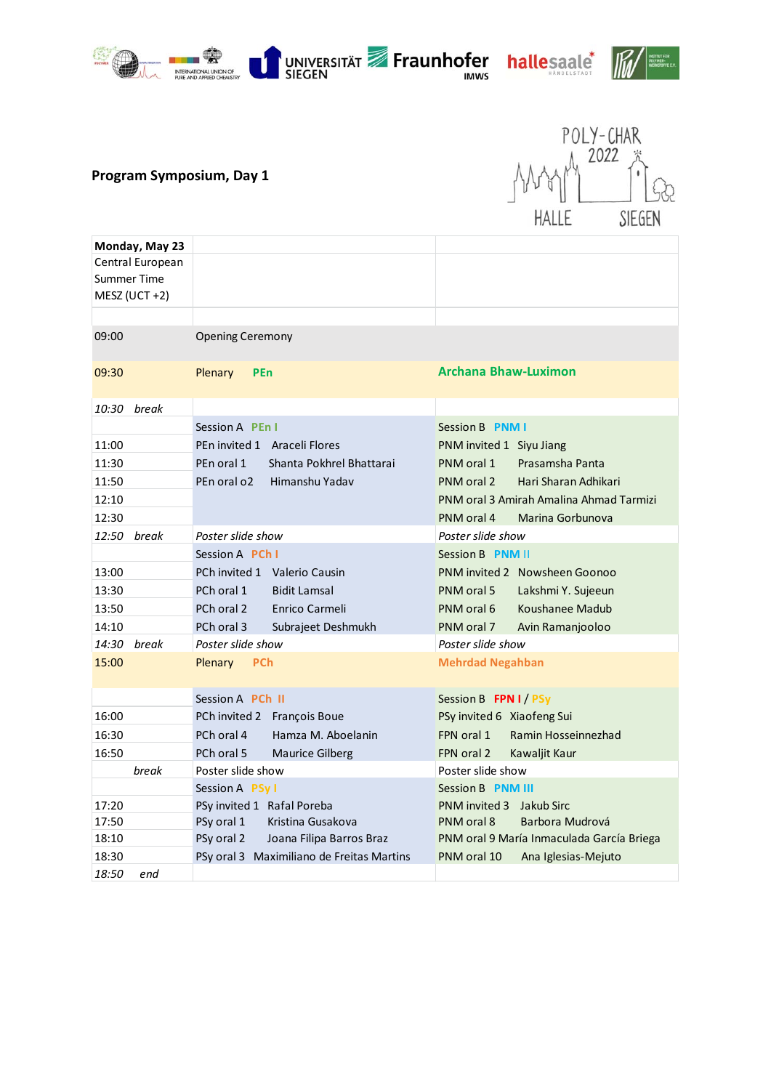



ľ



IUT FÜR<br>Mer:<br>Stoffe e.v.

| Monday, May 23     |                                           |                                           |
|--------------------|-------------------------------------------|-------------------------------------------|
| Central European   |                                           |                                           |
| <b>Summer Time</b> |                                           |                                           |
| $MESZ (UCT + 2)$   |                                           |                                           |
|                    |                                           |                                           |
| 09:00              | <b>Opening Ceremony</b>                   |                                           |
| 09:30              | <b>Plenary</b><br>PEn                     | <b>Archana Bhaw-Luximon</b>               |
| 10:30 break        |                                           |                                           |
|                    | Session A PEn I                           | Session B PNM I                           |
| 11:00              | PEn invited 1 Araceli Flores              | PNM invited 1 Siyu Jiang                  |
| 11:30              | PEn oral 1<br>Shanta Pokhrel Bhattarai    | PNM oral 1<br>Prasamsha Panta             |
| 11:50              | PEn oral o2<br>Himanshu Yadav             | Hari Sharan Adhikari<br>PNM oral 2        |
| 12:10              |                                           | PNM oral 3 Amirah Amalina Ahmad Tarmizi   |
| 12:30              |                                           | PNM oral 4<br>Marina Gorbunova            |
| 12:50 break        | Poster slide show                         | Poster slide show                         |
|                    | Session A <b>PCh I</b>                    | Session B PNM II                          |
| 13:00              | PCh invited 1 Valerio Causin              | PNM invited 2 Nowsheen Goonoo             |
| 13:30              | PCh oral 1<br><b>Bidit Lamsal</b>         | PNM oral 5<br>Lakshmi Y. Sujeeun          |
| 13:50              | PCh oral 2<br>Enrico Carmeli              | Koushanee Madub<br>PNM oral 6             |
| 14:10              | PCh oral 3<br>Subrajeet Deshmukh          | PNM oral 7<br>Avin Ramanjooloo            |
| 14:30 break        | Poster slide show                         | Poster slide show                         |
| 15:00              | Plenary<br><b>PCh</b>                     | <b>Mehrdad Negahban</b>                   |
|                    |                                           |                                           |
|                    | Session A PCh II                          | Session B FPN I / PSy                     |
| 16:00              | PCh invited 2 François Boue               | PSy invited 6 Xiaofeng Sui                |
| 16:30              | PCh oral 4<br>Hamza M. Aboelanin          | FPN oral 1<br>Ramin Hosseinnezhad         |
| 16:50              | PCh oral 5<br><b>Maurice Gilberg</b>      | FPN oral 2<br>Kawaljit Kaur               |
| break              | Poster slide show                         | Poster slide show                         |
|                    | Session A PSy I                           | Session B PNM III                         |
| 17:20              | PSy invited 1 Rafal Poreba                | PNM invited 3 Jakub Sirc                  |
| 17:50              | Kristina Gusakova<br>PSy oral 1           | PNM oral 8<br>Barbora Mudrová             |
| 18:10              | PSy oral 2<br>Joana Filipa Barros Braz    | PNM oral 9 María Inmaculada García Briega |
| 18:30              | PSy oral 3 Maximiliano de Freitas Martins | PNM oral 10<br>Ana Iglesias-Mejuto        |
| 18:50<br>end       |                                           |                                           |

UNIVERSITÄT **Fraunhofer** hallesaale<sup>\*</sup>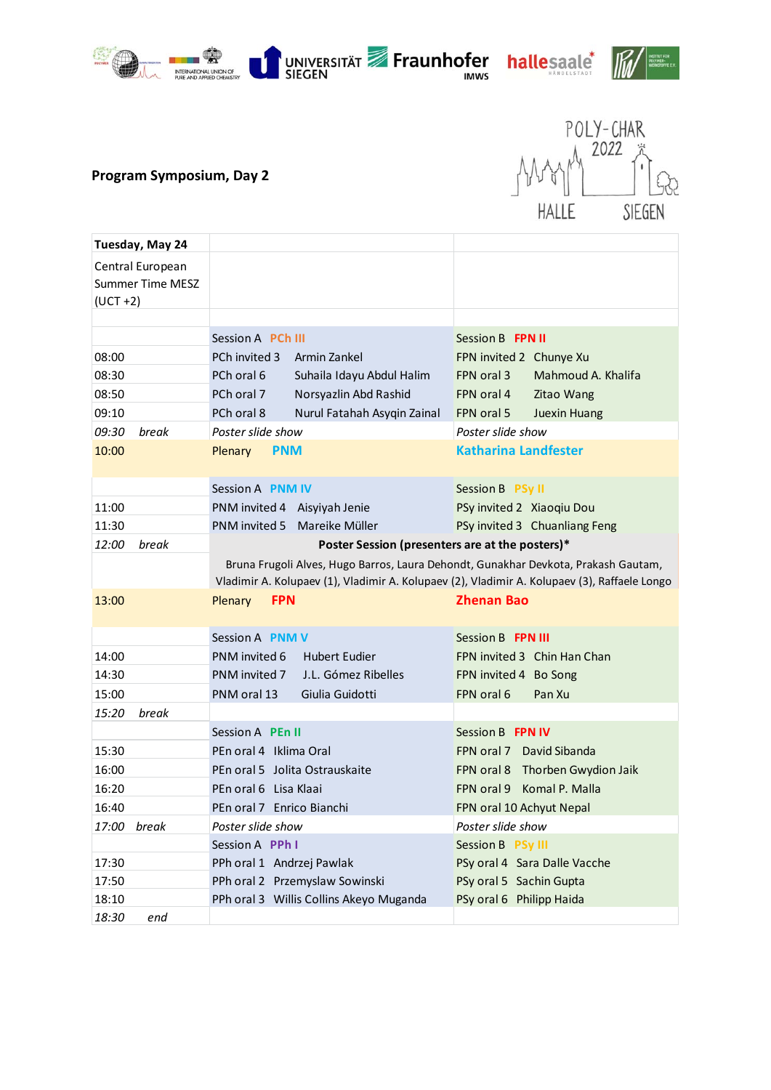







# **Program Symposium, Day 2**



| Tuesday, May 24                                            |                                                                                              |                                  |
|------------------------------------------------------------|----------------------------------------------------------------------------------------------|----------------------------------|
| Central European<br><b>Summer Time MESZ</b><br>$(UCT + 2)$ |                                                                                              |                                  |
|                                                            |                                                                                              |                                  |
|                                                            | Session A <b>PCh III</b>                                                                     | Session B FPN II                 |
| 08:00                                                      | PCh invited 3<br>Armin Zankel                                                                | FPN invited 2 Chunye Xu          |
| 08:30                                                      | PCh oral 6<br>Suhaila Idayu Abdul Halim                                                      | Mahmoud A. Khalifa<br>FPN oral 3 |
| 08:50                                                      | PCh oral 7<br>Norsyazlin Abd Rashid                                                          | FPN oral 4<br>Zitao Wang         |
| 09:10                                                      | PCh oral 8<br>Nurul Fatahah Asygin Zainal                                                    | FPN oral 5<br>Juexin Huang       |
| break<br>09:30                                             | Poster slide show                                                                            | Poster slide show                |
| 10:00                                                      | Plenary<br><b>PNM</b>                                                                        | <b>Katharina Landfester</b>      |
|                                                            |                                                                                              |                                  |
|                                                            | Session A PNM IV                                                                             | Session B PSy II                 |
| 11:00                                                      | PNM invited 4 Aisyiyah Jenie                                                                 | PSy invited 2 Xiaoqiu Dou        |
| 11:30                                                      | PNM invited 5<br>Mareike Müller                                                              | PSy invited 3 Chuanliang Feng    |
| 12:00<br>break                                             | Poster Session (presenters are at the posters)*                                              |                                  |
|                                                            | Bruna Frugoli Alves, Hugo Barros, Laura Dehondt, Gunakhar Devkota, Prakash Gautam,           |                                  |
|                                                            | Vladimir A. Kolupaev (1), Vladimir A. Kolupaev (2), Vladimir A. Kolupaev (3), Raffaele Longo |                                  |
| 13:00                                                      | <b>FPN</b><br>Plenary                                                                        | <b>Zhenan Bao</b>                |
|                                                            |                                                                                              |                                  |
|                                                            | Session A PNM V                                                                              | Session B FPN III                |
| 14:00                                                      | PNM invited 6<br><b>Hubert Eudier</b>                                                        | FPN invited 3 Chin Han Chan      |
| 14:30                                                      | PNM invited 7<br>J.L. Gómez Ribelles                                                         | FPN invited 4 Bo Song            |
| 15:00                                                      | PNM oral 13<br>Giulia Guidotti                                                               | FPN oral 6<br>Pan Xu             |
| 15:20<br>break                                             |                                                                                              |                                  |
|                                                            | Session A PEn II                                                                             | Session B FPN IV                 |
| 15:30                                                      | PEn oral 4 Iklima Oral                                                                       | FPN oral 7 David Sibanda         |
| 16:00                                                      | PEn oral 5 Jolita Ostrauskaite                                                               | FPN oral 8 Thorben Gwydion Jaik  |
| 16:20                                                      | PEn oral 6 Lisa Klaai                                                                        | Komal P. Malla<br>FPN oral 9     |
| 16:40                                                      | PEn oral 7 Enrico Bianchi                                                                    | FPN oral 10 Achyut Nepal         |
| 17:00<br>break                                             | Poster slide show                                                                            | Poster slide show                |
|                                                            | Session A PPh I                                                                              | Session B PSy III                |
| 17:30                                                      | PPh oral 1 Andrzej Pawlak                                                                    | PSy oral 4 Sara Dalle Vacche     |
| 17:50                                                      | PPh oral 2 Przemyslaw Sowinski                                                               | PSy oral 5 Sachin Gupta          |
| 18:10                                                      | PPh oral 3 Willis Collins Akeyo Muganda                                                      | PSy oral 6 Philipp Haida         |
| 18:30<br>end                                               |                                                                                              |                                  |